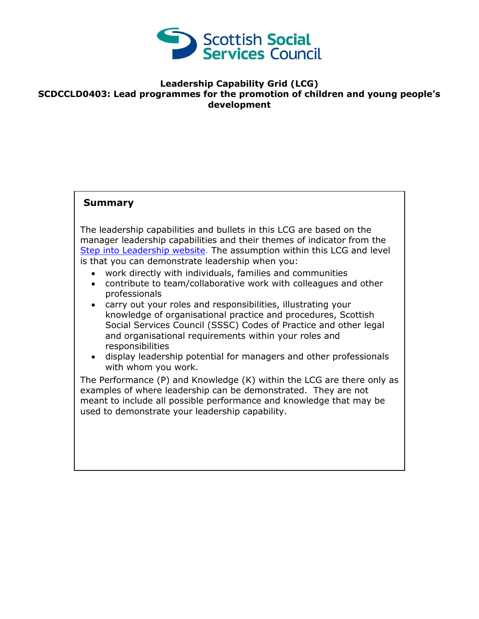

## **Leadership Capability Grid (LCG) SCDCCLD0403: Lead programmes for the promotion of children and young people's development**

## **Summary**

The leadership capabilities and bullets in this LCG are based on the manager leadership capabilities and their themes of indicator from the [Step into Leadership website.](http://www.stepintoleadership.info/) The assumption within this LCG and level is that you can demonstrate leadership when you:

- work directly with individuals, families and communities
- contribute to team/collaborative work with colleagues and other professionals
- carry out your roles and responsibilities, illustrating your knowledge of organisational practice and procedures, Scottish Social Services Council (SSSC) Codes of Practice and other legal and organisational requirements within your roles and responsibilities
- display leadership potential for managers and other professionals with whom you work.

The Performance (P) and Knowledge (K) within the LCG are there only as examples of where leadership can be demonstrated. They are not meant to include all possible performance and knowledge that may be used to demonstrate your leadership capability.